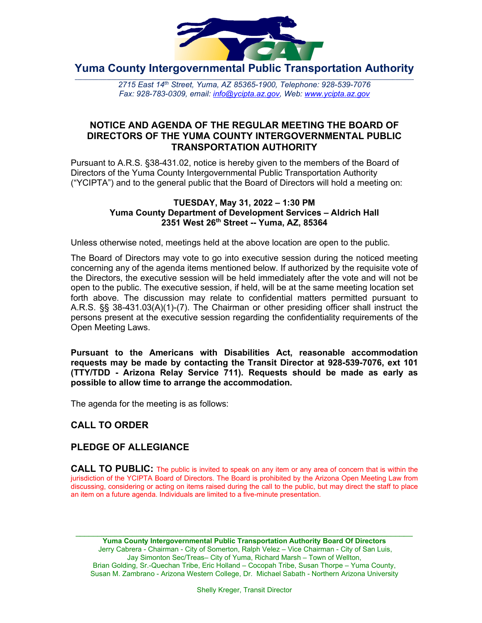

**Yuma County Intergovernmental Public Transportation Authority**

2715 East 14th Street, Yuma, AZ 85365-1900, Telephone: 928-539-7076 *Fax: 928-783-0309, email: [info@ycipta.az.gov,](mailto:info@ycipta.az.gov) Web: [www.ycipta.az.gov](http://www.ycipta.az.gov/)* 

### **NOTICE AND AGENDA OF THE REGULAR MEETING THE BOARD OF DIRECTORS OF THE YUMA COUNTY INTERGOVERNMENTAL PUBLIC TRANSPORTATION AUTHORITY**

Pursuant to A.R.S. §38-431.02, notice is hereby given to the members of the Board of Directors of the Yuma County Intergovernmental Public Transportation Authority ("YCIPTA") and to the general public that the Board of Directors will hold a meeting on:

#### **TUESDAY, May 31, 2022 – 1:30 PM Yuma County Department of Development Services – Aldrich Hall 2351 West 26th Street -- Yuma, AZ, 85364**

Unless otherwise noted, meetings held at the above location are open to the public.

The Board of Directors may vote to go into executive session during the noticed meeting concerning any of the agenda items mentioned below. If authorized by the requisite vote of the Directors, the executive session will be held immediately after the vote and will not be open to the public. The executive session, if held, will be at the same meeting location set forth above. The discussion may relate to confidential matters permitted pursuant to A.R.S. §§ 38-431.03(A)(1)-(7). The Chairman or other presiding officer shall instruct the persons present at the executive session regarding the confidentiality requirements of the Open Meeting Laws.

**Pursuant to the Americans with Disabilities Act, reasonable accommodation requests may be made by contacting the Transit Director at 928-539-7076, ext 101 (TTY/TDD - Arizona Relay Service 711). Requests should be made as early as possible to allow time to arrange the accommodation.**

The agenda for the meeting is as follows:

# **CALL TO ORDER**

### **PLEDGE OF ALLEGIANCE**

**CALL TO PUBLIC:** The public is invited to speak on any item or any area of concern that is within the jurisdiction of the YCIPTA Board of Directors. The Board is prohibited by the Arizona Open Meeting Law from discussing, considering or acting on items raised during the call to the public, but may direct the staff to place an item on a future agenda. Individuals are limited to a five-minute presentation.

\_\_\_\_\_\_\_\_\_\_\_\_\_\_\_\_\_\_\_\_\_\_\_\_\_\_\_\_\_\_\_\_\_\_\_\_\_\_\_\_\_\_\_\_\_\_\_\_\_\_\_\_\_\_\_\_\_\_\_\_\_\_\_\_\_\_\_\_\_\_\_\_\_\_\_\_\_ **Yuma County Intergovernmental Public Transportation Authority Board Of Directors** Jerry Cabrera - Chairman - City of Somerton, Ralph Velez – Vice Chairman - City of San Luis, Jay Simonton Sec/Treas– City of Yuma, Richard Marsh – Town of Wellton, Brian Golding, Sr.-Quechan Tribe, Eric Holland – Cocopah Tribe, Susan Thorpe – Yuma County, Susan M. Zambrano - Arizona Western College, Dr. Michael Sabath - Northern Arizona University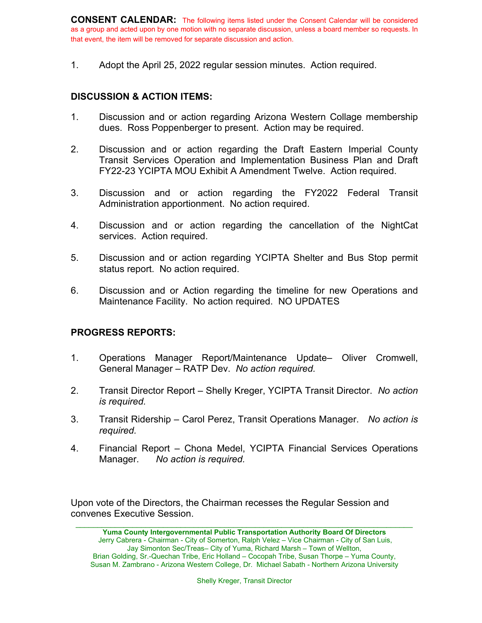**CONSENT CALENDAR:** The following items listed under the Consent Calendar will be considered as a group and acted upon by one motion with no separate discussion, unless a board member so requests. In that event, the item will be removed for separate discussion and action.

1. Adopt the April 25, 2022 regular session minutes. Action required.

### **DISCUSSION & ACTION ITEMS:**

- 1. Discussion and or action regarding Arizona Western Collage membership dues. Ross Poppenberger to present. Action may be required.
- 2. Discussion and or action regarding the Draft Eastern Imperial County Transit Services Operation and Implementation Business Plan and Draft FY22-23 YCIPTA MOU Exhibit A Amendment Twelve. Action required.
- 3. Discussion and or action regarding the FY2022 Federal Transit Administration apportionment. No action required.
- 4. Discussion and or action regarding the cancellation of the NightCat services. Action required.
- 5. Discussion and or action regarding YCIPTA Shelter and Bus Stop permit status report. No action required.
- 6. Discussion and or Action regarding the timeline for new Operations and Maintenance Facility. No action required. NO UPDATES

### **PROGRESS REPORTS:**

- 1. Operations Manager Report/Maintenance Update– Oliver Cromwell, General Manager – RATP Dev. *No action required.*
- 2. Transit Director Report Shelly Kreger, YCIPTA Transit Director. *No action is required.*
- 3. Transit Ridership Carol Perez, Transit Operations Manager. *No action is required.*
- 4. Financial Report Chona Medel, YCIPTA Financial Services Operations Manager. *No action is required.*

Upon vote of the Directors, the Chairman recesses the Regular Session and convenes Executive Session.